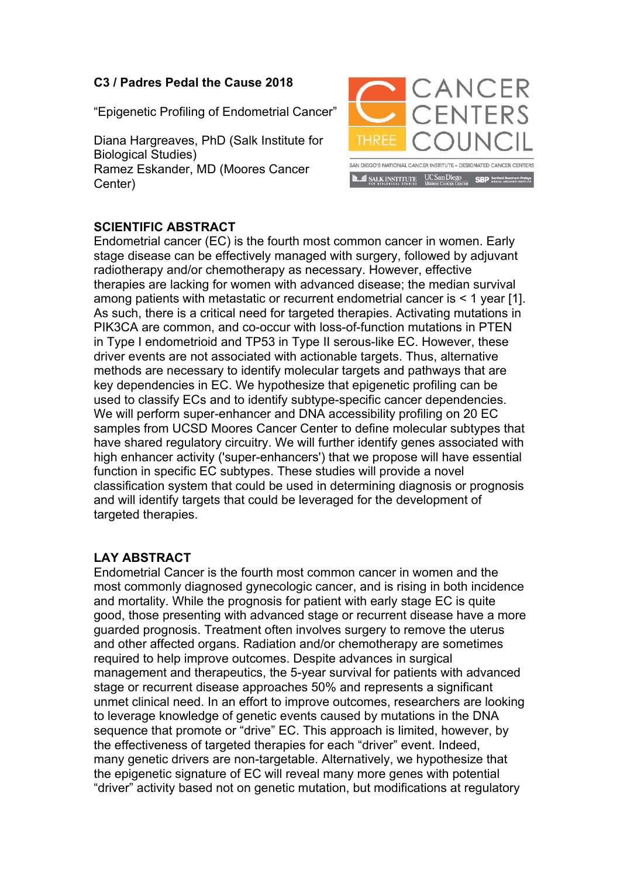## **C3 / Padres Pedal the Cause 2018**

"Epigenetic Profiling of Endometrial Cancer"

Diana Hargreaves, PhD (Salk Institute for Biological Studies) Ramez Eskander, MD (Moores Cancer Center)



## **SCIENTIFIC ABSTRACT**

Endometrial cancer (EC) is the fourth most common cancer in women. Early stage disease can be effectively managed with surgery, followed by adjuvant radiotherapy and/or chemotherapy as necessary. However, effective therapies are lacking for women with advanced disease; the median survival among patients with metastatic or recurrent endometrial cancer is < 1 year [1]. As such, there is a critical need for targeted therapies. Activating mutations in PIK3CA are common, and co-occur with loss-of-function mutations in PTEN in Type I endometrioid and TP53 in Type II serous-like EC. However, these driver events are not associated with actionable targets. Thus, alternative methods are necessary to identify molecular targets and pathways that are key dependencies in EC. We hypothesize that epigenetic profiling can be used to classify ECs and to identify subtype-specific cancer dependencies. We will perform super-enhancer and DNA accessibility profiling on 20 EC samples from UCSD Moores Cancer Center to define molecular subtypes that have shared regulatory circuitry. We will further identify genes associated with high enhancer activity ('super-enhancers') that we propose will have essential function in specific EC subtypes. These studies will provide a novel classification system that could be used in determining diagnosis or prognosis and will identify targets that could be leveraged for the development of targeted therapies.

## **LAY ABSTRACT**

Endometrial Cancer is the fourth most common cancer in women and the most commonly diagnosed gynecologic cancer, and is rising in both incidence and mortality. While the prognosis for patient with early stage EC is quite good, those presenting with advanced stage or recurrent disease have a more guarded prognosis. Treatment often involves surgery to remove the uterus and other affected organs. Radiation and/or chemotherapy are sometimes required to help improve outcomes. Despite advances in surgical management and therapeutics, the 5-year survival for patients with advanced stage or recurrent disease approaches 50% and represents a significant unmet clinical need. In an effort to improve outcomes, researchers are looking to leverage knowledge of genetic events caused by mutations in the DNA sequence that promote or "drive" EC. This approach is limited, however, by the effectiveness of targeted therapies for each "driver" event. Indeed, many genetic drivers are non-targetable. Alternatively, we hypothesize that the epigenetic signature of EC will reveal many more genes with potential "driver" activity based not on genetic mutation, but modifications at regulatory